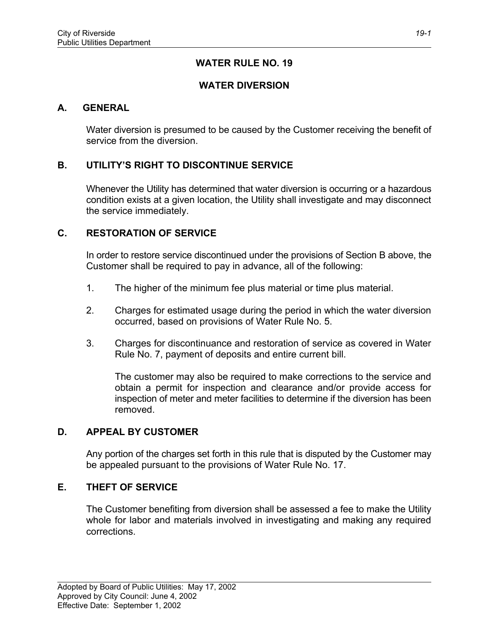## **WATER RULE NO. 19**

## **WATER DIVERSION**

#### **A. GENERAL**

Water diversion is presumed to be caused by the Customer receiving the benefit of service from the diversion.

# **B. UTILITY'S RIGHT TO DISCONTINUE SERVICE**

Whenever the Utility has determined that water diversion is occurring or a hazardous condition exists at a given location, the Utility shall investigate and may disconnect the service immediately.

### **C. RESTORATION OF SERVICE**

In order to restore service discontinued under the provisions of Section B above, the Customer shall be required to pay in advance, all of the following:

- 1. The higher of the minimum fee plus material or time plus material.
- 2. Charges for estimated usage during the period in which the water diversion occurred, based on provisions of Water Rule No. 5.
- 3. Charges for discontinuance and restoration of service as covered in Water Rule No. 7, payment of deposits and entire current bill.

The customer may also be required to make corrections to the service and obtain a permit for inspection and clearance and/or provide access for inspection of meter and meter facilities to determine if the diversion has been removed.

#### **D. APPEAL BY CUSTOMER**

Any portion of the charges set forth in this rule that is disputed by the Customer may be appealed pursuant to the provisions of Water Rule No. 17.

#### **E. THEFT OF SERVICE**

The Customer benefiting from diversion shall be assessed a fee to make the Utility whole for labor and materials involved in investigating and making any required corrections.